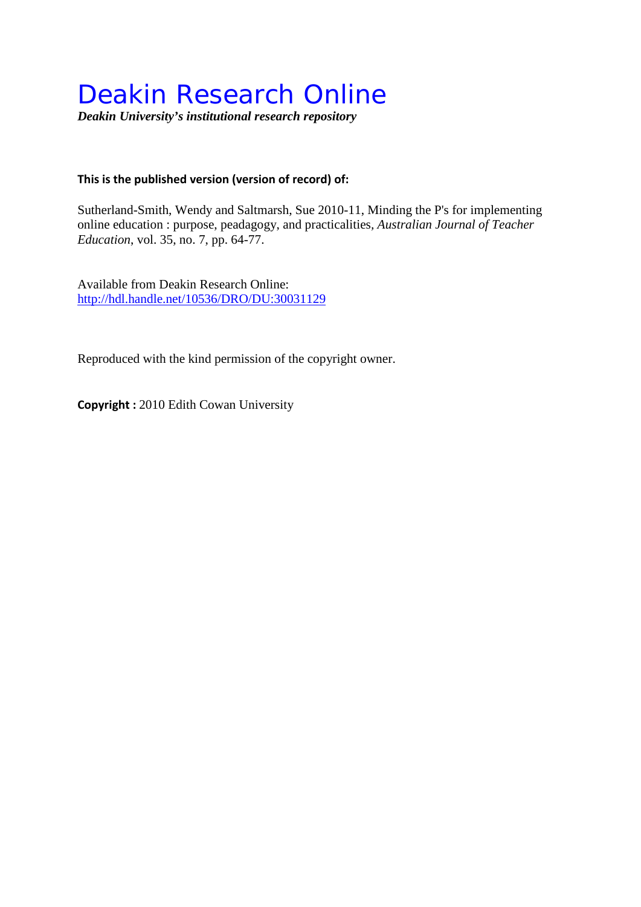# Deakin Research Online

*Deakin University's institutional research repository*

## **This is the published version (version of record) of:**

Sutherland-Smith, Wendy and Saltmarsh, Sue 2010-11, Minding the P's for implementing online education : purpose, peadagogy, and practicalities*, Australian Journal of Teacher Education*, vol. 35, no. 7, pp. 64-77.

Available from Deakin Research Online: <http://hdl.handle.net/10536/DRO/DU:30031129>

Reproduced with the kind permission of the copyright owner.

**Copyright :** 2010 Edith Cowan University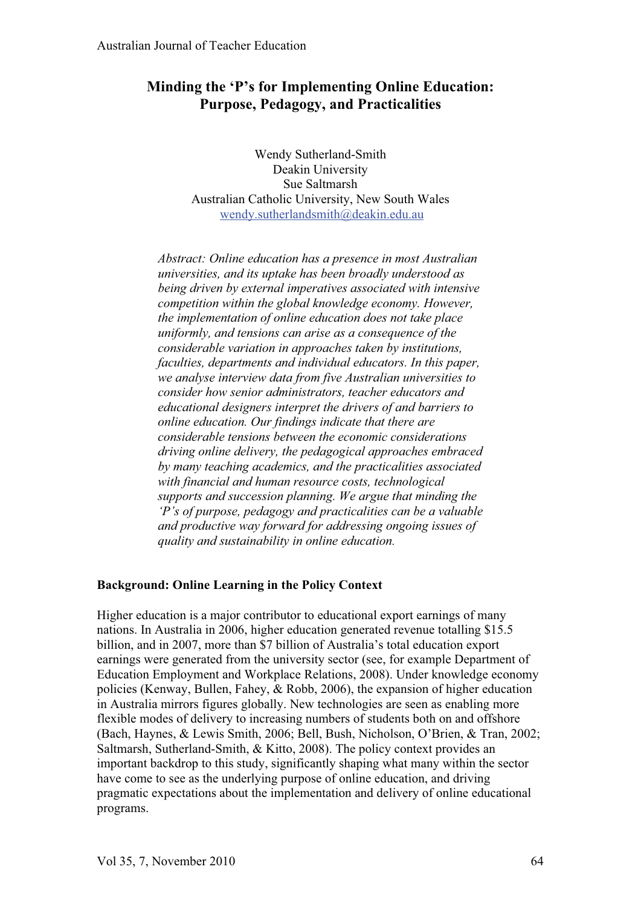# **Minding the 'P's for Implementing Online Education: Purpose, Pedagogy, and Practicalities**

Wendy Sutherland-Smith Deakin University Sue Saltmarsh Australian Catholic University, New South Wales wendy.sutherlandsmith@deakin.edu.au

*Abstract: Online education has a presence in most Australian universities, and its uptake has been broadly understood as being driven by external imperatives associated with intensive competition within the global knowledge economy. However, the implementation of online education does not take place uniformly, and tensions can arise as a consequence of the considerable variation in approaches taken by institutions, faculties, departments and individual educators. In this paper, we analyse interview data from five Australian universities to consider how senior administrators, teacher educators and educational designers interpret the drivers of and barriers to online education. Our findings indicate that there are considerable tensions between the economic considerations driving online delivery, the pedagogical approaches embraced by many teaching academics, and the practicalities associated with financial and human resource costs, technological supports and succession planning. We argue that minding the 'P's of purpose, pedagogy and practicalities can be a valuable and productive way forward for addressing ongoing issues of quality and sustainability in online education.* 

## **Background: Online Learning in the Policy Context**

Higher education is a major contributor to educational export earnings of many nations. In Australia in 2006, higher education generated revenue totalling \$15.5 billion, and in 2007, more than \$7 billion of Australia's total education export earnings were generated from the university sector (see, for example Department of Education Employment and Workplace Relations, 2008). Under knowledge economy policies (Kenway, Bullen, Fahey, & Robb, 2006), the expansion of higher education in Australia mirrors figures globally. New technologies are seen as enabling more flexible modes of delivery to increasing numbers of students both on and offshore (Bach, Haynes, & Lewis Smith, 2006; Bell, Bush, Nicholson, O'Brien, & Tran, 2002; Saltmarsh, Sutherland-Smith, & Kitto, 2008). The policy context provides an important backdrop to this study, significantly shaping what many within the sector have come to see as the underlying purpose of online education, and driving pragmatic expectations about the implementation and delivery of online educational programs.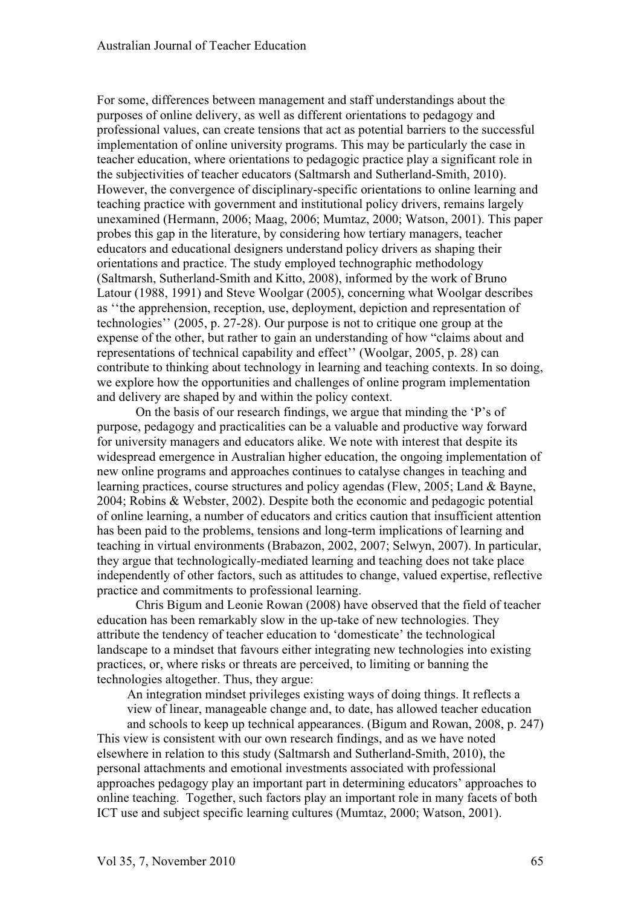For some, differences between management and staff understandings about the purposes of online delivery, as well as different orientations to pedagogy and professional values, can create tensions that act as potential barriers to the successful implementation of online university programs. This may be particularly the case in teacher education, where orientations to pedagogic practice play a significant role in the subjectivities of teacher educators (Saltmarsh and Sutherland-Smith, 2010). However, the convergence of disciplinary-specific orientations to online learning and teaching practice with government and institutional policy drivers, remains largely unexamined (Hermann, 2006; Maag, 2006; Mumtaz, 2000; Watson, 2001). This paper probes this gap in the literature, by considering how tertiary managers, teacher educators and educational designers understand policy drivers as shaping their orientations and practice. The study employed technographic methodology (Saltmarsh, Sutherland-Smith and Kitto, 2008), informed by the work of Bruno Latour (1988, 1991) and Steve Woolgar (2005), concerning what Woolgar describes as ''the apprehension, reception, use, deployment, depiction and representation of technologies'' (2005, p. 27-28). Our purpose is not to critique one group at the expense of the other, but rather to gain an understanding of how "claims about and representations of technical capability and effect'' (Woolgar, 2005, p. 28) can contribute to thinking about technology in learning and teaching contexts. In so doing, we explore how the opportunities and challenges of online program implementation and delivery are shaped by and within the policy context.

On the basis of our research findings, we argue that minding the 'P's of purpose, pedagogy and practicalities can be a valuable and productive way forward for university managers and educators alike. We note with interest that despite its widespread emergence in Australian higher education, the ongoing implementation of new online programs and approaches continues to catalyse changes in teaching and learning practices, course structures and policy agendas (Flew, 2005; Land & Bayne, 2004; Robins & Webster, 2002). Despite both the economic and pedagogic potential of online learning, a number of educators and critics caution that insufficient attention has been paid to the problems, tensions and long-term implications of learning and teaching in virtual environments (Brabazon, 2002, 2007; Selwyn, 2007). In particular, they argue that technologically-mediated learning and teaching does not take place independently of other factors, such as attitudes to change, valued expertise, reflective practice and commitments to professional learning.

Chris Bigum and Leonie Rowan (2008) have observed that the field of teacher education has been remarkably slow in the up-take of new technologies. They attribute the tendency of teacher education to 'domesticate' the technological landscape to a mindset that favours either integrating new technologies into existing practices, or, where risks or threats are perceived, to limiting or banning the technologies altogether. Thus, they argue:

An integration mindset privileges existing ways of doing things. It reflects a view of linear, manageable change and, to date, has allowed teacher education

and schools to keep up technical appearances. (Bigum and Rowan, 2008, p. 247) This view is consistent with our own research findings, and as we have noted elsewhere in relation to this study (Saltmarsh and Sutherland-Smith, 2010), the personal attachments and emotional investments associated with professional approaches pedagogy play an important part in determining educators' approaches to online teaching. Together, such factors play an important role in many facets of both ICT use and subject specific learning cultures (Mumtaz, 2000; Watson, 2001).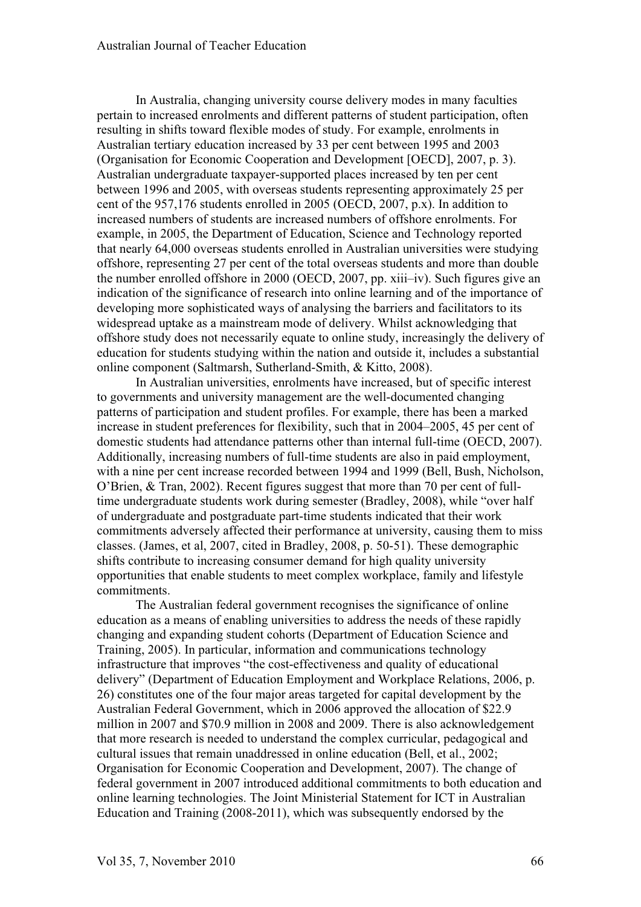In Australia, changing university course delivery modes in many faculties pertain to increased enrolments and different patterns of student participation, often resulting in shifts toward flexible modes of study. For example, enrolments in Australian tertiary education increased by 33 per cent between 1995 and 2003 (Organisation for Economic Cooperation and Development [OECD], 2007, p. 3). Australian undergraduate taxpayer-supported places increased by ten per cent between 1996 and 2005, with overseas students representing approximately 25 per cent of the 957,176 students enrolled in 2005 (OECD, 2007, p.x). In addition to increased numbers of students are increased numbers of offshore enrolments. For example, in 2005, the Department of Education, Science and Technology reported that nearly 64,000 overseas students enrolled in Australian universities were studying offshore, representing 27 per cent of the total overseas students and more than double the number enrolled offshore in 2000 (OECD, 2007, pp. xiii–iv). Such figures give an indication of the significance of research into online learning and of the importance of developing more sophisticated ways of analysing the barriers and facilitators to its widespread uptake as a mainstream mode of delivery. Whilst acknowledging that offshore study does not necessarily equate to online study, increasingly the delivery of education for students studying within the nation and outside it, includes a substantial online component (Saltmarsh, Sutherland-Smith, & Kitto, 2008).

In Australian universities, enrolments have increased, but of specific interest to governments and university management are the well-documented changing patterns of participation and student profiles. For example, there has been a marked increase in student preferences for flexibility, such that in 2004–2005, 45 per cent of domestic students had attendance patterns other than internal full-time (OECD, 2007). Additionally, increasing numbers of full-time students are also in paid employment, with a nine per cent increase recorded between 1994 and 1999 (Bell, Bush, Nicholson, O'Brien, & Tran, 2002). Recent figures suggest that more than 70 per cent of fulltime undergraduate students work during semester (Bradley, 2008), while "over half of undergraduate and postgraduate part-time students indicated that their work commitments adversely affected their performance at university, causing them to miss classes. (James, et al, 2007, cited in Bradley, 2008, p. 50-51). These demographic shifts contribute to increasing consumer demand for high quality university opportunities that enable students to meet complex workplace, family and lifestyle commitments.

The Australian federal government recognises the significance of online education as a means of enabling universities to address the needs of these rapidly changing and expanding student cohorts (Department of Education Science and Training, 2005). In particular, information and communications technology infrastructure that improves "the cost-effectiveness and quality of educational delivery" (Department of Education Employment and Workplace Relations, 2006, p. 26) constitutes one of the four major areas targeted for capital development by the Australian Federal Government, which in 2006 approved the allocation of \$22.9 million in 2007 and \$70.9 million in 2008 and 2009. There is also acknowledgement that more research is needed to understand the complex curricular, pedagogical and cultural issues that remain unaddressed in online education (Bell, et al., 2002; Organisation for Economic Cooperation and Development, 2007). The change of federal government in 2007 introduced additional commitments to both education and online learning technologies. The Joint Ministerial Statement for ICT in Australian Education and Training (2008-2011), which was subsequently endorsed by the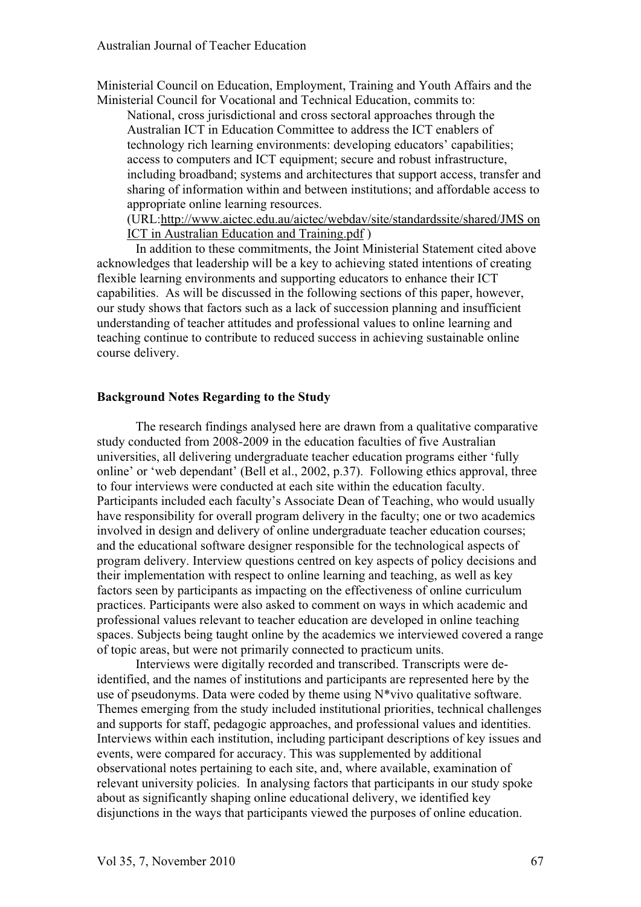Ministerial Council on Education, Employment, Training and Youth Affairs and the Ministerial Council for Vocational and Technical Education, commits to:

National, cross jurisdictional and cross sectoral approaches through the Australian ICT in Education Committee to address the ICT enablers of technology rich learning environments: developing educators' capabilities; access to computers and ICT equipment; secure and robust infrastructure, including broadband; systems and architectures that support access, transfer and sharing of information within and between institutions; and affordable access to appropriate online learning resources.

(URL:http://www.aictec.edu.au/aictec/webdav/site/standardssite/shared/JMS on ICT in Australian Education and Training.pdf )

In addition to these commitments, the Joint Ministerial Statement cited above acknowledges that leadership will be a key to achieving stated intentions of creating flexible learning environments and supporting educators to enhance their ICT capabilities. As will be discussed in the following sections of this paper, however, our study shows that factors such as a lack of succession planning and insufficient understanding of teacher attitudes and professional values to online learning and teaching continue to contribute to reduced success in achieving sustainable online course delivery.

#### **Background Notes Regarding to the Study**

The research findings analysed here are drawn from a qualitative comparative study conducted from 2008-2009 in the education faculties of five Australian universities, all delivering undergraduate teacher education programs either 'fully online' or 'web dependant' (Bell et al., 2002, p.37). Following ethics approval, three to four interviews were conducted at each site within the education faculty. Participants included each faculty's Associate Dean of Teaching, who would usually have responsibility for overall program delivery in the faculty; one or two academics involved in design and delivery of online undergraduate teacher education courses; and the educational software designer responsible for the technological aspects of program delivery. Interview questions centred on key aspects of policy decisions and their implementation with respect to online learning and teaching, as well as key factors seen by participants as impacting on the effectiveness of online curriculum practices. Participants were also asked to comment on ways in which academic and professional values relevant to teacher education are developed in online teaching spaces. Subjects being taught online by the academics we interviewed covered a range of topic areas, but were not primarily connected to practicum units.

Interviews were digitally recorded and transcribed. Transcripts were deidentified, and the names of institutions and participants are represented here by the use of pseudonyms. Data were coded by theme using N\*vivo qualitative software. Themes emerging from the study included institutional priorities, technical challenges and supports for staff, pedagogic approaches, and professional values and identities. Interviews within each institution, including participant descriptions of key issues and events, were compared for accuracy. This was supplemented by additional observational notes pertaining to each site, and, where available, examination of relevant university policies. In analysing factors that participants in our study spoke about as significantly shaping online educational delivery, we identified key disjunctions in the ways that participants viewed the purposes of online education.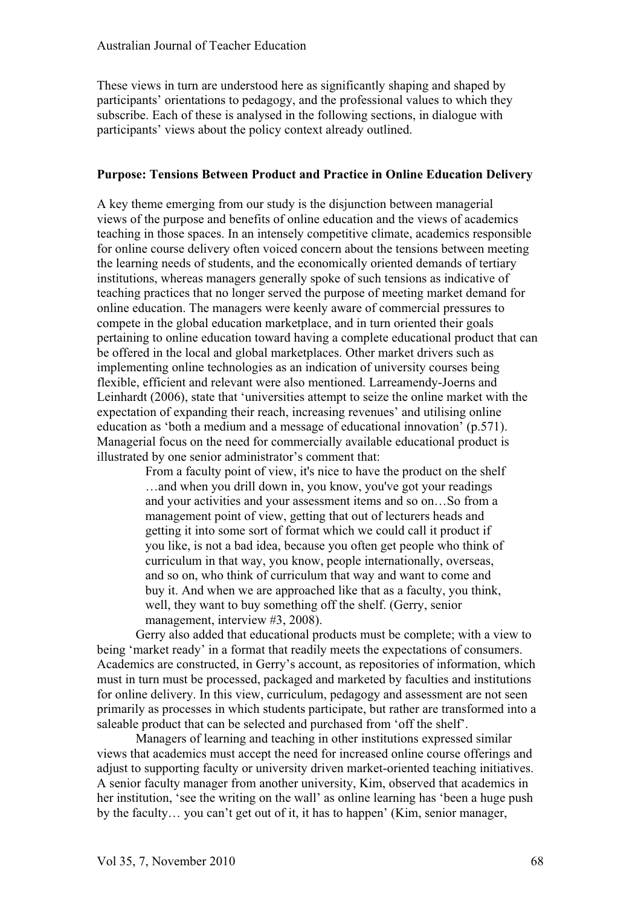These views in turn are understood here as significantly shaping and shaped by participants' orientations to pedagogy, and the professional values to which they subscribe. Each of these is analysed in the following sections, in dialogue with participants' views about the policy context already outlined.

#### **Purpose: Tensions Between Product and Practice in Online Education Delivery**

A key theme emerging from our study is the disjunction between managerial views of the purpose and benefits of online education and the views of academics teaching in those spaces. In an intensely competitive climate, academics responsible for online course delivery often voiced concern about the tensions between meeting the learning needs of students, and the economically oriented demands of tertiary institutions, whereas managers generally spoke of such tensions as indicative of teaching practices that no longer served the purpose of meeting market demand for online education. The managers were keenly aware of commercial pressures to compete in the global education marketplace, and in turn oriented their goals pertaining to online education toward having a complete educational product that can be offered in the local and global marketplaces. Other market drivers such as implementing online technologies as an indication of university courses being flexible, efficient and relevant were also mentioned. Larreamendy-Joerns and Leinhardt (2006), state that 'universities attempt to seize the online market with the expectation of expanding their reach, increasing revenues' and utilising online education as 'both a medium and a message of educational innovation' (p.571). Managerial focus on the need for commercially available educational product is illustrated by one senior administrator's comment that:

> From a faculty point of view, it's nice to have the product on the shelf …and when you drill down in, you know, you've got your readings and your activities and your assessment items and so on…So from a management point of view, getting that out of lecturers heads and getting it into some sort of format which we could call it product if you like, is not a bad idea, because you often get people who think of curriculum in that way, you know, people internationally, overseas, and so on, who think of curriculum that way and want to come and buy it. And when we are approached like that as a faculty, you think, well, they want to buy something off the shelf. (Gerry, senior management, interview #3, 2008).

Gerry also added that educational products must be complete; with a view to being 'market ready' in a format that readily meets the expectations of consumers. Academics are constructed, in Gerry's account, as repositories of information, which must in turn must be processed, packaged and marketed by faculties and institutions for online delivery. In this view, curriculum, pedagogy and assessment are not seen primarily as processes in which students participate, but rather are transformed into a saleable product that can be selected and purchased from 'off the shelf'.

Managers of learning and teaching in other institutions expressed similar views that academics must accept the need for increased online course offerings and adjust to supporting faculty or university driven market-oriented teaching initiatives. A senior faculty manager from another university, Kim, observed that academics in her institution, 'see the writing on the wall' as online learning has 'been a huge push by the faculty… you can't get out of it, it has to happen' (Kim, senior manager,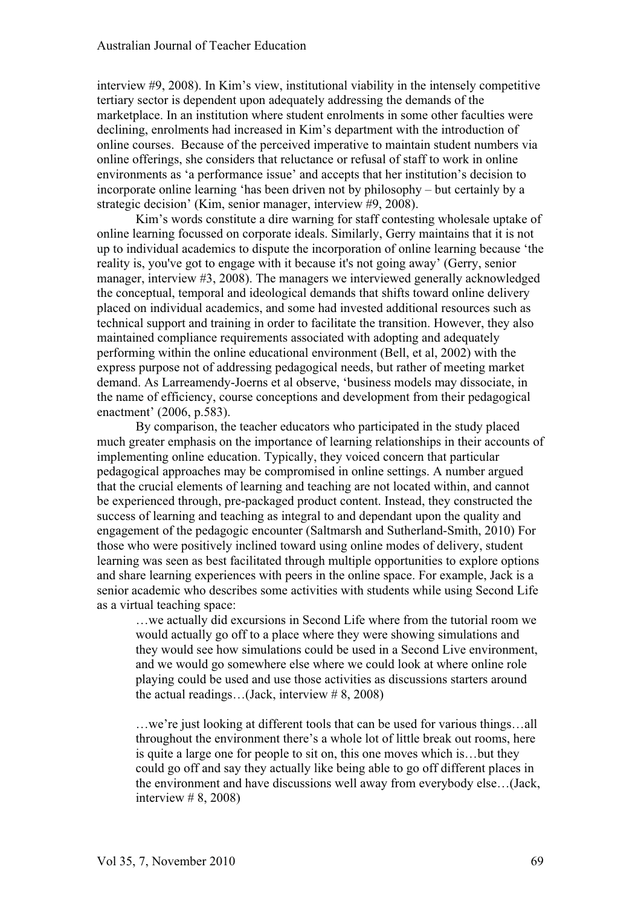interview #9, 2008). In Kim's view, institutional viability in the intensely competitive tertiary sector is dependent upon adequately addressing the demands of the marketplace. In an institution where student enrolments in some other faculties were declining, enrolments had increased in Kim's department with the introduction of online courses. Because of the perceived imperative to maintain student numbers via online offerings, she considers that reluctance or refusal of staff to work in online environments as 'a performance issue' and accepts that her institution's decision to incorporate online learning 'has been driven not by philosophy – but certainly by a strategic decision' (Kim, senior manager, interview #9, 2008).

Kim's words constitute a dire warning for staff contesting wholesale uptake of online learning focussed on corporate ideals. Similarly, Gerry maintains that it is not up to individual academics to dispute the incorporation of online learning because 'the reality is, you've got to engage with it because it's not going away' (Gerry, senior manager, interview #3, 2008). The managers we interviewed generally acknowledged the conceptual, temporal and ideological demands that shifts toward online delivery placed on individual academics, and some had invested additional resources such as technical support and training in order to facilitate the transition. However, they also maintained compliance requirements associated with adopting and adequately performing within the online educational environment (Bell, et al, 2002) with the express purpose not of addressing pedagogical needs, but rather of meeting market demand. As Larreamendy-Joerns et al observe, 'business models may dissociate, in the name of efficiency, course conceptions and development from their pedagogical enactment' (2006, p.583).

By comparison, the teacher educators who participated in the study placed much greater emphasis on the importance of learning relationships in their accounts of implementing online education. Typically, they voiced concern that particular pedagogical approaches may be compromised in online settings. A number argued that the crucial elements of learning and teaching are not located within, and cannot be experienced through, pre-packaged product content. Instead, they constructed the success of learning and teaching as integral to and dependant upon the quality and engagement of the pedagogic encounter (Saltmarsh and Sutherland-Smith, 2010) For those who were positively inclined toward using online modes of delivery, student learning was seen as best facilitated through multiple opportunities to explore options and share learning experiences with peers in the online space. For example, Jack is a senior academic who describes some activities with students while using Second Life as a virtual teaching space:

…we actually did excursions in Second Life where from the tutorial room we would actually go off to a place where they were showing simulations and they would see how simulations could be used in a Second Live environment, and we would go somewhere else where we could look at where online role playing could be used and use those activities as discussions starters around the actual readings…(Jack, interview # 8, 2008)

…we're just looking at different tools that can be used for various things…all throughout the environment there's a whole lot of little break out rooms, here is quite a large one for people to sit on, this one moves which is…but they could go off and say they actually like being able to go off different places in the environment and have discussions well away from everybody else…(Jack, interview  $\# 8, 2008$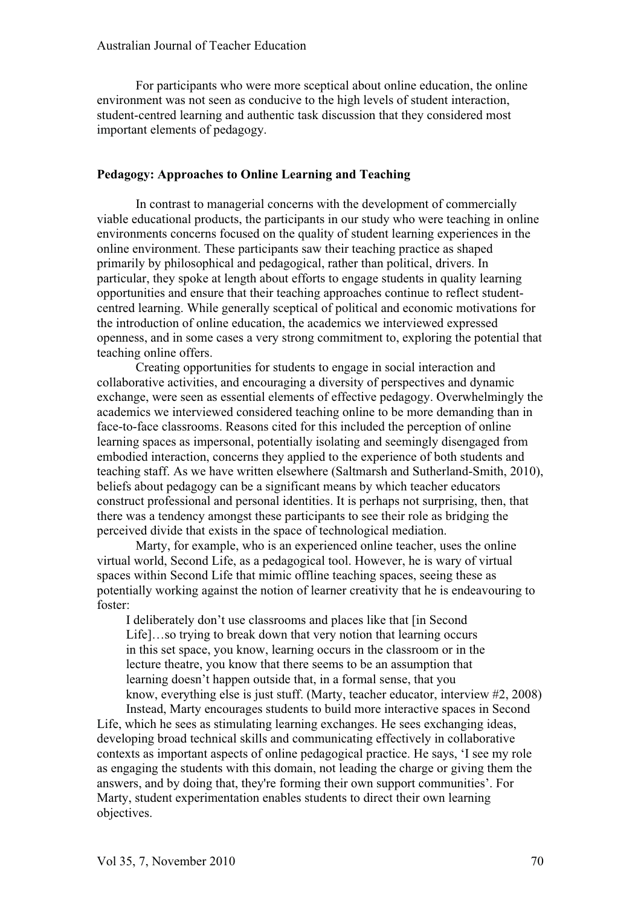For participants who were more sceptical about online education, the online environment was not seen as conducive to the high levels of student interaction, student-centred learning and authentic task discussion that they considered most important elements of pedagogy.

#### **Pedagogy: Approaches to Online Learning and Teaching**

In contrast to managerial concerns with the development of commercially viable educational products, the participants in our study who were teaching in online environments concerns focused on the quality of student learning experiences in the online environment. These participants saw their teaching practice as shaped primarily by philosophical and pedagogical, rather than political, drivers. In particular, they spoke at length about efforts to engage students in quality learning opportunities and ensure that their teaching approaches continue to reflect studentcentred learning. While generally sceptical of political and economic motivations for the introduction of online education, the academics we interviewed expressed openness, and in some cases a very strong commitment to, exploring the potential that teaching online offers.

Creating opportunities for students to engage in social interaction and collaborative activities, and encouraging a diversity of perspectives and dynamic exchange, were seen as essential elements of effective pedagogy. Overwhelmingly the academics we interviewed considered teaching online to be more demanding than in face-to-face classrooms. Reasons cited for this included the perception of online learning spaces as impersonal, potentially isolating and seemingly disengaged from embodied interaction, concerns they applied to the experience of both students and teaching staff. As we have written elsewhere (Saltmarsh and Sutherland-Smith, 2010), beliefs about pedagogy can be a significant means by which teacher educators construct professional and personal identities. It is perhaps not surprising, then, that there was a tendency amongst these participants to see their role as bridging the perceived divide that exists in the space of technological mediation.

Marty, for example, who is an experienced online teacher, uses the online virtual world, Second Life, as a pedagogical tool. However, he is wary of virtual spaces within Second Life that mimic offline teaching spaces, seeing these as potentially working against the notion of learner creativity that he is endeavouring to foster:

I deliberately don't use classrooms and places like that [in Second Life]…so trying to break down that very notion that learning occurs in this set space, you know, learning occurs in the classroom or in the lecture theatre, you know that there seems to be an assumption that learning doesn't happen outside that, in a formal sense, that you know, everything else is just stuff. (Marty, teacher educator, interview #2, 2008) Instead, Marty encourages students to build more interactive spaces in Second

Life, which he sees as stimulating learning exchanges. He sees exchanging ideas, developing broad technical skills and communicating effectively in collaborative contexts as important aspects of online pedagogical practice. He says, 'I see my role as engaging the students with this domain, not leading the charge or giving them the answers, and by doing that, they're forming their own support communities'. For Marty, student experimentation enables students to direct their own learning objectives.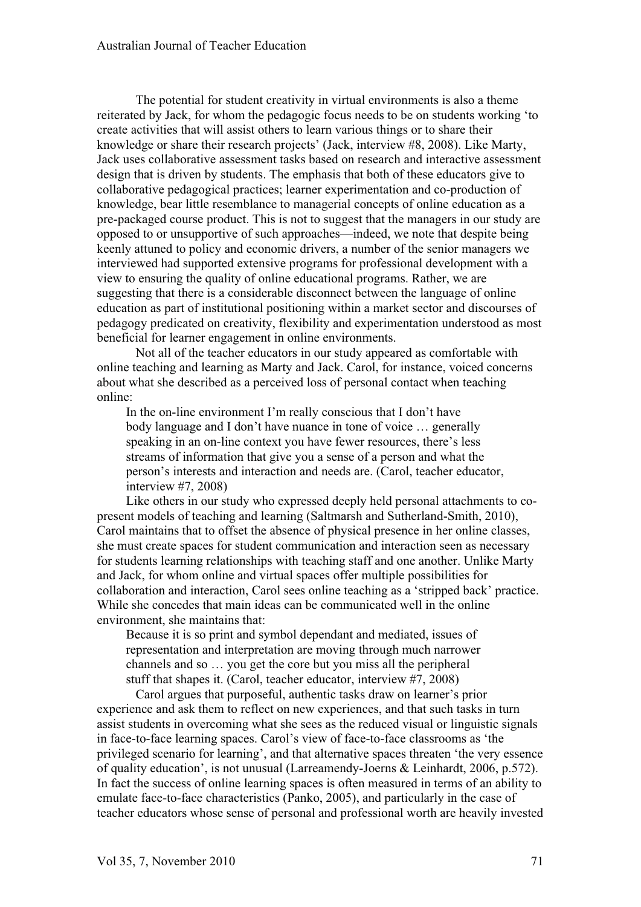The potential for student creativity in virtual environments is also a theme reiterated by Jack, for whom the pedagogic focus needs to be on students working 'to create activities that will assist others to learn various things or to share their knowledge or share their research projects' (Jack, interview #8, 2008). Like Marty, Jack uses collaborative assessment tasks based on research and interactive assessment design that is driven by students. The emphasis that both of these educators give to collaborative pedagogical practices; learner experimentation and co-production of knowledge, bear little resemblance to managerial concepts of online education as a pre-packaged course product. This is not to suggest that the managers in our study are opposed to or unsupportive of such approaches—indeed, we note that despite being keenly attuned to policy and economic drivers, a number of the senior managers we interviewed had supported extensive programs for professional development with a view to ensuring the quality of online educational programs. Rather, we are suggesting that there is a considerable disconnect between the language of online education as part of institutional positioning within a market sector and discourses of pedagogy predicated on creativity, flexibility and experimentation understood as most beneficial for learner engagement in online environments.

Not all of the teacher educators in our study appeared as comfortable with online teaching and learning as Marty and Jack. Carol, for instance, voiced concerns about what she described as a perceived loss of personal contact when teaching online:

In the on-line environment I'm really conscious that I don't have body language and I don't have nuance in tone of voice … generally speaking in an on-line context you have fewer resources, there's less streams of information that give you a sense of a person and what the person's interests and interaction and needs are. (Carol, teacher educator, interview #7, 2008)

Like others in our study who expressed deeply held personal attachments to copresent models of teaching and learning (Saltmarsh and Sutherland-Smith, 2010), Carol maintains that to offset the absence of physical presence in her online classes, she must create spaces for student communication and interaction seen as necessary for students learning relationships with teaching staff and one another. Unlike Marty and Jack, for whom online and virtual spaces offer multiple possibilities for collaboration and interaction, Carol sees online teaching as a 'stripped back' practice. While she concedes that main ideas can be communicated well in the online environment, she maintains that:

Because it is so print and symbol dependant and mediated, issues of representation and interpretation are moving through much narrower channels and so … you get the core but you miss all the peripheral stuff that shapes it. (Carol, teacher educator, interview #7, 2008)

Carol argues that purposeful, authentic tasks draw on learner's prior experience and ask them to reflect on new experiences, and that such tasks in turn assist students in overcoming what she sees as the reduced visual or linguistic signals in face-to-face learning spaces. Carol's view of face-to-face classrooms as 'the privileged scenario for learning', and that alternative spaces threaten 'the very essence of quality education', is not unusual (Larreamendy-Joerns & Leinhardt, 2006, p.572). In fact the success of online learning spaces is often measured in terms of an ability to emulate face-to-face characteristics (Panko, 2005), and particularly in the case of teacher educators whose sense of personal and professional worth are heavily invested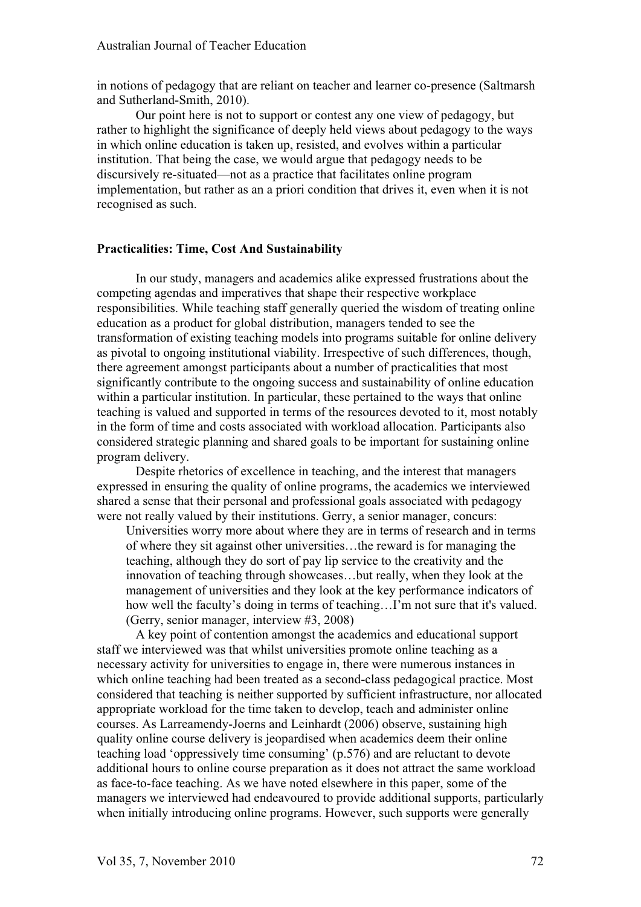in notions of pedagogy that are reliant on teacher and learner co-presence (Saltmarsh and Sutherland-Smith, 2010).

Our point here is not to support or contest any one view of pedagogy, but rather to highlight the significance of deeply held views about pedagogy to the ways in which online education is taken up, resisted, and evolves within a particular institution. That being the case, we would argue that pedagogy needs to be discursively re-situated—not as a practice that facilitates online program implementation, but rather as an a priori condition that drives it, even when it is not recognised as such.

#### **Practicalities: Time, Cost And Sustainability**

In our study, managers and academics alike expressed frustrations about the competing agendas and imperatives that shape their respective workplace responsibilities. While teaching staff generally queried the wisdom of treating online education as a product for global distribution, managers tended to see the transformation of existing teaching models into programs suitable for online delivery as pivotal to ongoing institutional viability. Irrespective of such differences, though, there agreement amongst participants about a number of practicalities that most significantly contribute to the ongoing success and sustainability of online education within a particular institution. In particular, these pertained to the ways that online teaching is valued and supported in terms of the resources devoted to it, most notably in the form of time and costs associated with workload allocation. Participants also considered strategic planning and shared goals to be important for sustaining online program delivery.

Despite rhetorics of excellence in teaching, and the interest that managers expressed in ensuring the quality of online programs, the academics we interviewed shared a sense that their personal and professional goals associated with pedagogy were not really valued by their institutions. Gerry, a senior manager, concurs:

Universities worry more about where they are in terms of research and in terms of where they sit against other universities…the reward is for managing the teaching, although they do sort of pay lip service to the creativity and the innovation of teaching through showcases…but really, when they look at the management of universities and they look at the key performance indicators of how well the faculty's doing in terms of teaching…I'm not sure that it's valued. (Gerry, senior manager, interview #3, 2008)

A key point of contention amongst the academics and educational support staff we interviewed was that whilst universities promote online teaching as a necessary activity for universities to engage in, there were numerous instances in which online teaching had been treated as a second-class pedagogical practice. Most considered that teaching is neither supported by sufficient infrastructure, nor allocated appropriate workload for the time taken to develop, teach and administer online courses. As Larreamendy-Joerns and Leinhardt (2006) observe, sustaining high quality online course delivery is jeopardised when academics deem their online teaching load 'oppressively time consuming' (p.576) and are reluctant to devote additional hours to online course preparation as it does not attract the same workload as face-to-face teaching. As we have noted elsewhere in this paper, some of the managers we interviewed had endeavoured to provide additional supports, particularly when initially introducing online programs. However, such supports were generally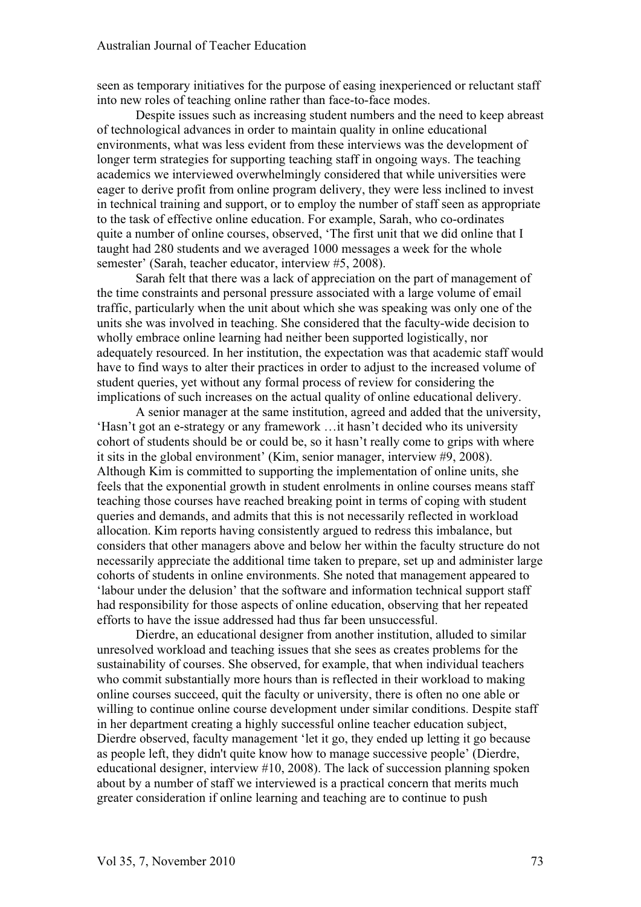seen as temporary initiatives for the purpose of easing inexperienced or reluctant staff into new roles of teaching online rather than face-to-face modes.

Despite issues such as increasing student numbers and the need to keep abreast of technological advances in order to maintain quality in online educational environments, what was less evident from these interviews was the development of longer term strategies for supporting teaching staff in ongoing ways. The teaching academics we interviewed overwhelmingly considered that while universities were eager to derive profit from online program delivery, they were less inclined to invest in technical training and support, or to employ the number of staff seen as appropriate to the task of effective online education. For example, Sarah, who co-ordinates quite a number of online courses, observed, 'The first unit that we did online that I taught had 280 students and we averaged 1000 messages a week for the whole semester' (Sarah, teacher educator, interview #5, 2008).

Sarah felt that there was a lack of appreciation on the part of management of the time constraints and personal pressure associated with a large volume of email traffic, particularly when the unit about which she was speaking was only one of the units she was involved in teaching. She considered that the faculty-wide decision to wholly embrace online learning had neither been supported logistically, nor adequately resourced. In her institution, the expectation was that academic staff would have to find ways to alter their practices in order to adjust to the increased volume of student queries, yet without any formal process of review for considering the implications of such increases on the actual quality of online educational delivery.

A senior manager at the same institution, agreed and added that the university, 'Hasn't got an e-strategy or any framework …it hasn't decided who its university cohort of students should be or could be, so it hasn't really come to grips with where it sits in the global environment' (Kim, senior manager, interview #9, 2008). Although Kim is committed to supporting the implementation of online units, she feels that the exponential growth in student enrolments in online courses means staff teaching those courses have reached breaking point in terms of coping with student queries and demands, and admits that this is not necessarily reflected in workload allocation. Kim reports having consistently argued to redress this imbalance, but considers that other managers above and below her within the faculty structure do not necessarily appreciate the additional time taken to prepare, set up and administer large cohorts of students in online environments. She noted that management appeared to 'labour under the delusion' that the software and information technical support staff had responsibility for those aspects of online education, observing that her repeated efforts to have the issue addressed had thus far been unsuccessful.

Dierdre, an educational designer from another institution, alluded to similar unresolved workload and teaching issues that she sees as creates problems for the sustainability of courses. She observed, for example, that when individual teachers who commit substantially more hours than is reflected in their workload to making online courses succeed, quit the faculty or university, there is often no one able or willing to continue online course development under similar conditions. Despite staff in her department creating a highly successful online teacher education subject, Dierdre observed, faculty management 'let it go, they ended up letting it go because as people left, they didn't quite know how to manage successive people' (Dierdre, educational designer, interview #10, 2008). The lack of succession planning spoken about by a number of staff we interviewed is a practical concern that merits much greater consideration if online learning and teaching are to continue to push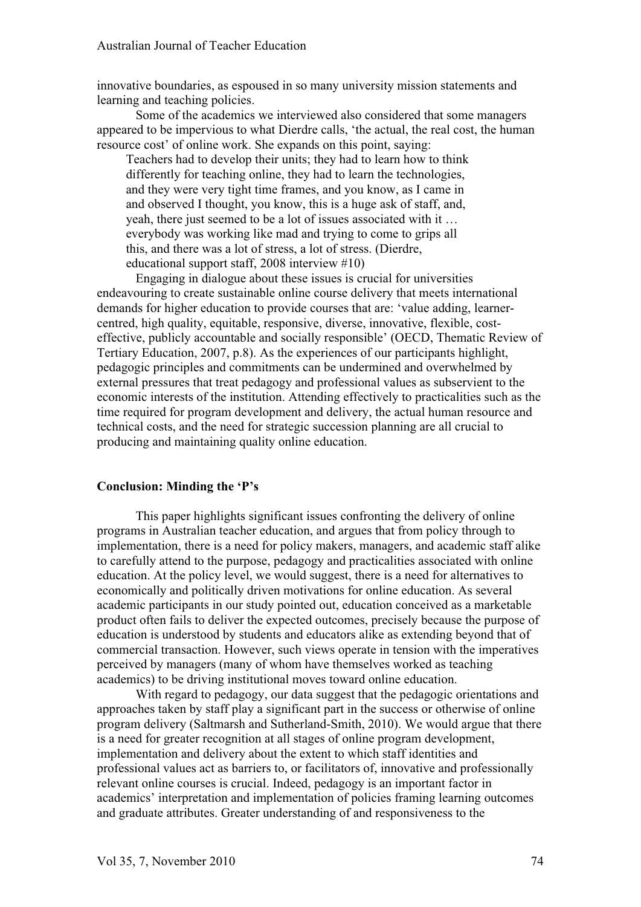innovative boundaries, as espoused in so many university mission statements and learning and teaching policies.

Some of the academics we interviewed also considered that some managers appeared to be impervious to what Dierdre calls, 'the actual, the real cost, the human resource cost' of online work. She expands on this point, saying:

Teachers had to develop their units; they had to learn how to think differently for teaching online, they had to learn the technologies, and they were very tight time frames, and you know, as I came in and observed I thought, you know, this is a huge ask of staff, and, yeah, there just seemed to be a lot of issues associated with it … everybody was working like mad and trying to come to grips all this, and there was a lot of stress, a lot of stress. (Dierdre, educational support staff, 2008 interview #10)

Engaging in dialogue about these issues is crucial for universities endeavouring to create sustainable online course delivery that meets international demands for higher education to provide courses that are: 'value adding, learnercentred, high quality, equitable, responsive, diverse, innovative, flexible, costeffective, publicly accountable and socially responsible' (OECD, Thematic Review of Tertiary Education, 2007, p.8). As the experiences of our participants highlight, pedagogic principles and commitments can be undermined and overwhelmed by external pressures that treat pedagogy and professional values as subservient to the economic interests of the institution. Attending effectively to practicalities such as the time required for program development and delivery, the actual human resource and technical costs, and the need for strategic succession planning are all crucial to producing and maintaining quality online education.

#### **Conclusion: Minding the 'P's**

This paper highlights significant issues confronting the delivery of online programs in Australian teacher education, and argues that from policy through to implementation, there is a need for policy makers, managers, and academic staff alike to carefully attend to the purpose, pedagogy and practicalities associated with online education. At the policy level, we would suggest, there is a need for alternatives to economically and politically driven motivations for online education. As several academic participants in our study pointed out, education conceived as a marketable product often fails to deliver the expected outcomes, precisely because the purpose of education is understood by students and educators alike as extending beyond that of commercial transaction. However, such views operate in tension with the imperatives perceived by managers (many of whom have themselves worked as teaching academics) to be driving institutional moves toward online education.

With regard to pedagogy, our data suggest that the pedagogic orientations and approaches taken by staff play a significant part in the success or otherwise of online program delivery (Saltmarsh and Sutherland-Smith, 2010). We would argue that there is a need for greater recognition at all stages of online program development, implementation and delivery about the extent to which staff identities and professional values act as barriers to, or facilitators of, innovative and professionally relevant online courses is crucial. Indeed, pedagogy is an important factor in academics' interpretation and implementation of policies framing learning outcomes and graduate attributes. Greater understanding of and responsiveness to the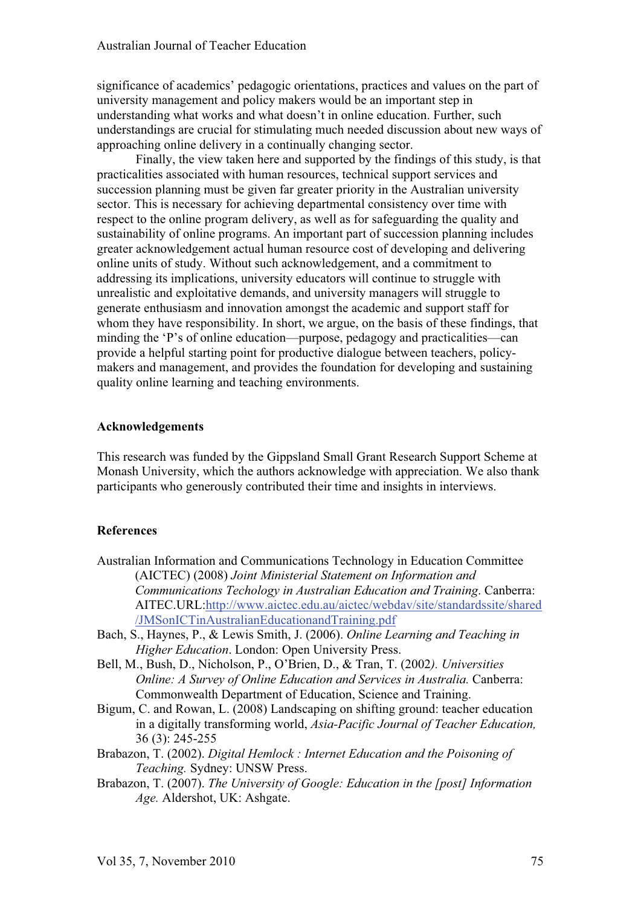significance of academics' pedagogic orientations, practices and values on the part of university management and policy makers would be an important step in understanding what works and what doesn't in online education. Further, such understandings are crucial for stimulating much needed discussion about new ways of approaching online delivery in a continually changing sector.

Finally, the view taken here and supported by the findings of this study, is that practicalities associated with human resources, technical support services and succession planning must be given far greater priority in the Australian university sector. This is necessary for achieving departmental consistency over time with respect to the online program delivery, as well as for safeguarding the quality and sustainability of online programs. An important part of succession planning includes greater acknowledgement actual human resource cost of developing and delivering online units of study. Without such acknowledgement, and a commitment to addressing its implications, university educators will continue to struggle with unrealistic and exploitative demands, and university managers will struggle to generate enthusiasm and innovation amongst the academic and support staff for whom they have responsibility. In short, we argue, on the basis of these findings, that minding the 'P's of online education—purpose, pedagogy and practicalities—can provide a helpful starting point for productive dialogue between teachers, policymakers and management, and provides the foundation for developing and sustaining quality online learning and teaching environments.

#### **Acknowledgements**

This research was funded by the Gippsland Small Grant Research Support Scheme at Monash University, which the authors acknowledge with appreciation. We also thank participants who generously contributed their time and insights in interviews.

## **References**

- Australian Information and Communications Technology in Education Committee (AICTEC) (2008) *Joint Ministerial Statement on Information and Communications Techology in Australian Education and Training*. Canberra: AITEC.URL:http://www.aictec.edu.au/aictec/webdav/site/standardssite/shared /JMSonICTinAustralianEducationandTraining.pdf
- Bach, S., Haynes, P., & Lewis Smith, J. (2006). *Online Learning and Teaching in Higher Education*. London: Open University Press.
- Bell, M., Bush, D., Nicholson, P., O'Brien, D., & Tran, T. (2002*). Universities Online: A Survey of Online Education and Services in Australia.* Canberra: Commonwealth Department of Education, Science and Training.
- Bigum, C. and Rowan, L. (2008) Landscaping on shifting ground: teacher education in a digitally transforming world, *Asia-Pacific Journal of Teacher Education,*  36 (3): 245-255
- Brabazon, T. (2002). *Digital Hemlock : Internet Education and the Poisoning of Teaching.* Sydney: UNSW Press.
- Brabazon, T. (2007). *The University of Google: Education in the [post] Information Age.* Aldershot, UK: Ashgate.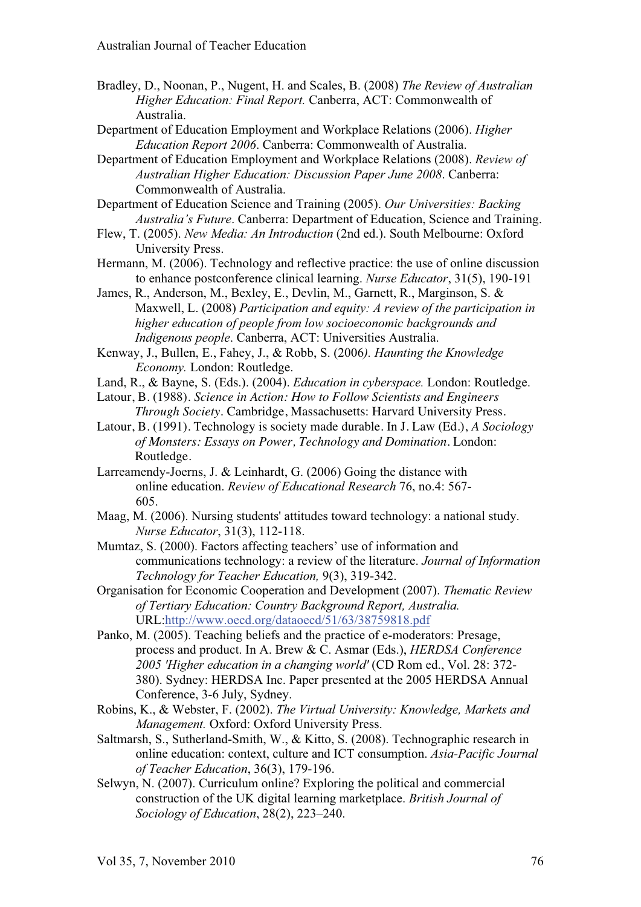- Bradley, D., Noonan, P., Nugent, H. and Scales, B. (2008) *The Review of Australian Higher Education: Final Report.* Canberra, ACT: Commonwealth of Australia.
- Department of Education Employment and Workplace Relations (2006). *Higher Education Report 2006*. Canberra: Commonwealth of Australia.
- Department of Education Employment and Workplace Relations (2008). *Review of Australian Higher Education: Discussion Paper June 2008*. Canberra: Commonwealth of Australia.
- Department of Education Science and Training (2005). *Our Universities: Backing Australia's Future*. Canberra: Department of Education, Science and Training.
- Flew, T. (2005). *New Media: An Introduction* (2nd ed.). South Melbourne: Oxford University Press.
- Hermann, M. (2006). Technology and reflective practice: the use of online discussion to enhance postconference clinical learning. *Nurse Educator*, 31(5), 190-191
- James, R., Anderson, M., Bexley, E., Devlin, M., Garnett, R., Marginson, S. & Maxwell, L. (2008) *Participation and equity: A review of the participation in higher education of people from low socioeconomic backgrounds and Indigenous people*. Canberra, ACT: Universities Australia.
- Kenway, J., Bullen, E., Fahey, J., & Robb, S. (2006*). Haunting the Knowledge Economy.* London: Routledge.
- Land, R., & Bayne, S. (Eds.). (2004). *Education in cyberspace.* London: Routledge.
- Latour, B. (1988). *Science in Action: How to Follow Scientists and Engineers Through Society*. Cambridge, Massachusetts: Harvard University Press.
- Latour, B. (1991). Technology is society made durable. In J. Law (Ed.), *A Sociology of Monsters: Essays on Power, Technology and Domination*. London: Routledge.
- Larreamendy-Joerns, J. & Leinhardt, G. (2006) Going the distance with online education. *Review of Educational Research* 76, no.4: 567- 605.
- Maag, M. (2006). Nursing students' attitudes toward technology: a national study. *Nurse Educator*, 31(3), 112-118.
- Mumtaz, S. (2000). Factors affecting teachers' use of information and communications technology: a review of the literature. *Journal of Information Technology for Teacher Education,* 9(3), 319-342.
- Organisation for Economic Cooperation and Development (2007). *Thematic Review of Tertiary Education: Country Background Report, Australia.* URL:http://www.oecd.org/dataoecd/51/63/38759818.pdf
- Panko, M. (2005). Teaching beliefs and the practice of e-moderators: Presage, process and product. In A. Brew & C. Asmar (Eds.), *HERDSA Conference 2005 'Higher education in a changing world'* (CD Rom ed., Vol. 28: 372- 380). Sydney: HERDSA Inc. Paper presented at the 2005 HERDSA Annual Conference, 3-6 July, Sydney.
- Robins, K., & Webster, F. (2002). *The Virtual University: Knowledge, Markets and Management.* Oxford: Oxford University Press.
- Saltmarsh, S., Sutherland-Smith, W., & Kitto, S. (2008). Technographic research in online education: context, culture and ICT consumption. *Asia-Pacific Journal of Teacher Education*, 36(3), 179-196.
- Selwyn, N. (2007). Curriculum online? Exploring the political and commercial construction of the UK digital learning marketplace. *British Journal of Sociology of Education*, 28(2), 223–240.